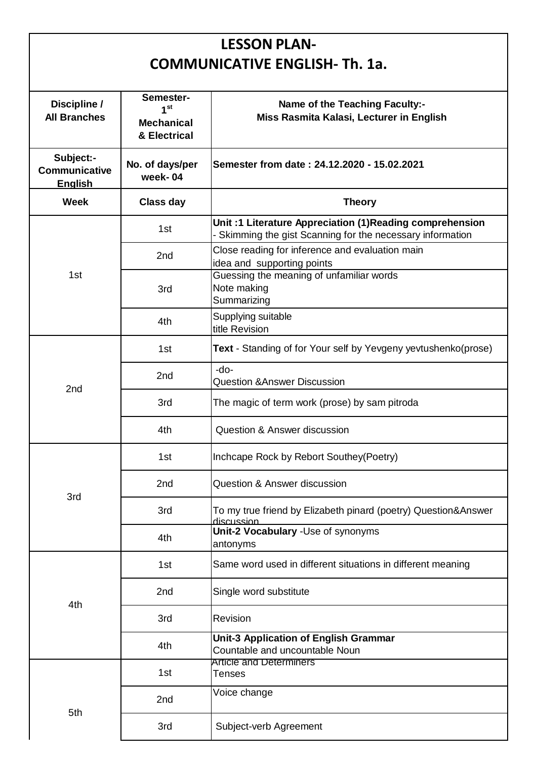## **LESSON PLAN-COMMUNICATIVE ENGLISH- Th. 1a.**

| Discipline /<br><b>All Branches</b>                 | Semester-<br>1 <sup>st</sup><br><b>Mechanical</b><br>& Electrical | <b>Name of the Teaching Faculty:-</b><br>Miss Rasmita Kalasi, Lecturer in English                                    |  |
|-----------------------------------------------------|-------------------------------------------------------------------|----------------------------------------------------------------------------------------------------------------------|--|
| Subject:-<br><b>Communicative</b><br><b>English</b> | No. of days/per<br>week-04                                        | Semester from date: 24.12.2020 - 15.02.2021                                                                          |  |
| <b>Week</b>                                         | <b>Class day</b>                                                  | <b>Theory</b>                                                                                                        |  |
| 1st                                                 | 1st                                                               | Unit: 1 Literature Appreciation (1)Reading comprehension<br>Skimming the gist Scanning for the necessary information |  |
|                                                     | 2nd                                                               | Close reading for inference and evaluation main<br>idea and supporting points                                        |  |
|                                                     | 3rd                                                               | Guessing the meaning of unfamiliar words<br>Note making<br>Summarizing                                               |  |
|                                                     | 4th                                                               | Supplying suitable<br>title Revision                                                                                 |  |
| 2 <sub>nd</sub>                                     | 1st                                                               | Text - Standing of for Your self by Yevgeny yevtushenko(prose)                                                       |  |
|                                                     | 2nd                                                               | $-do-$<br><b>Question &amp;Answer Discussion</b>                                                                     |  |
|                                                     | 3rd                                                               | The magic of term work (prose) by sam pitroda                                                                        |  |
|                                                     | 4th                                                               | <b>Question &amp; Answer discussion</b>                                                                              |  |
| 3rd                                                 | 1st                                                               | Inchcape Rock by Rebort Southey (Poetry)                                                                             |  |
|                                                     | 2nd                                                               | Question & Answer discussion                                                                                         |  |
|                                                     | 3rd                                                               | To my true friend by Elizabeth pinard (poetry) Question&Answer<br>discussion                                         |  |
|                                                     | 4th                                                               | Unit-2 Vocabulary -Use of synonyms<br>antonyms                                                                       |  |
| 4th                                                 | 1st                                                               | Same word used in different situations in different meaning                                                          |  |
|                                                     | 2nd                                                               | Single word substitute                                                                                               |  |
|                                                     | 3rd                                                               | Revision                                                                                                             |  |
|                                                     | 4th                                                               | <b>Unit-3 Application of English Grammar</b><br>Countable and uncountable Noun                                       |  |
| 5th                                                 | 1st                                                               | <b>Article and Determiners</b><br>Tenses                                                                             |  |
|                                                     | 2nd                                                               | Voice change                                                                                                         |  |
|                                                     | 3rd                                                               | Subject-verb Agreement                                                                                               |  |